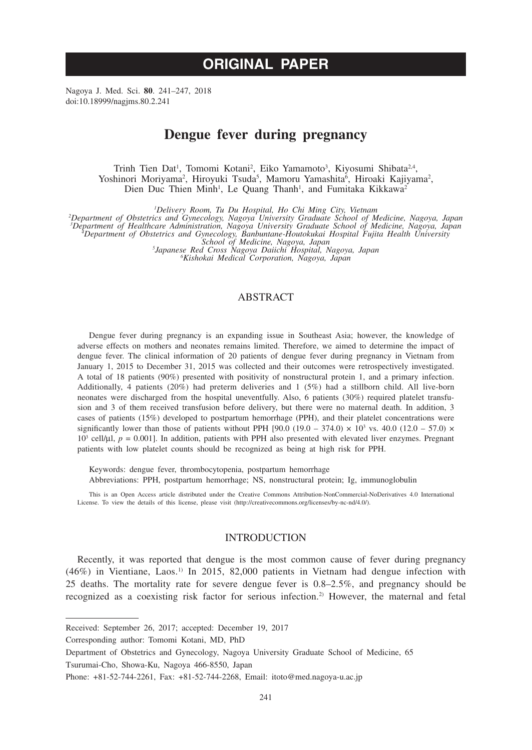# **ORIGINAL PAPER**

Nagoya J. Med. Sci. **80**. 241–247, 2018 doi:10.18999/nagjms.80.2.241

# **Dengue fever during pregnancy**

Trinh Tien Dat<sup>1</sup>, Tomomi Kotani<sup>2</sup>, Eiko Yamamoto<sup>3</sup>, Kiyosumi Shibata<sup>2,4</sup>, Yoshinori Moriyama<sup>2</sup>, Hiroyuki Tsuda<sup>5</sup>, Mamoru Yamashita<sup>6</sup>, Hiroaki Kajiyama<sup>2</sup>, Dien Duc Thien Minh<sup>1</sup>, Le Quang Thanh<sup>1</sup>, and Fumitaka Kikkawa<sup>2</sup>

<sup>1</sup>Delivery Room, Tu Du Hospital, Ho Chi Ming City, Vietnam

Delivery Room, Tu Du Hospital, Ho Chi Ming City, Vietnam<br>
Pepartment of Obstetrics and Gynecology, Nagoya University Graduate School of Medicine, Nagoya, Japan<br>
Pepartment of Healthcare Administration, Nagoya University Gr

*Japanese Red Cross Nagoya Daiichi Hospital, Nagoya, Japan <sup>6</sup>*

*Kishokai Medical Corporation, Nagoya, Japan*

# ABSTRACT

Dengue fever during pregnancy is an expanding issue in Southeast Asia; however, the knowledge of adverse effects on mothers and neonates remains limited. Therefore, we aimed to determine the impact of dengue fever. The clinical information of 20 patients of dengue fever during pregnancy in Vietnam from January 1, 2015 to December 31, 2015 was collected and their outcomes were retrospectively investigated. A total of 18 patients (90%) presented with positivity of nonstructural protein 1, and a primary infection. Additionally, 4 patients (20%) had preterm deliveries and 1 (5%) had a stillborn child. All live-born neonates were discharged from the hospital uneventfully. Also, 6 patients (30%) required platelet transfusion and 3 of them received transfusion before delivery, but there were no maternal death. In addition, 3 cases of patients (15%) developed to postpartum hemorrhage (PPH), and their platelet concentrations were significantly lower than those of patients without PPH [90.0 (19.0 – 374.0)  $\times$  10<sup>3</sup> vs. 40.0 (12.0 – 57.0)  $\times$  $10<sup>3</sup>$  cell/ $\mu$ l,  $p = 0.001$ ]. In addition, patients with PPH also presented with elevated liver enzymes. Pregnant patients with low platelet counts should be recognized as being at high risk for PPH.

Keywords: dengue fever, thrombocytopenia, postpartum hemorrhage Abbreviations: PPH, postpartum hemorrhage; NS, nonstructural protein; Ig, immunoglobulin

This is an Open Access article distributed under the Creative Commons Attribution-NonCommercial-NoDerivatives 4.0 International License. To view the details of this license, please visit (http://creativecommons.org/licenses/by-nc-nd/4.0/).

# INTRODUCTION

Recently, it was reported that dengue is the most common cause of fever during pregnancy  $(46%)$  in Vientiane, Laos.<sup>1)</sup> In 2015, 82,000 patients in Vietnam had dengue infection with 25 deaths. The mortality rate for severe dengue fever is 0.8–2.5%, and pregnancy should be recognized as a coexisting risk factor for serious infection.2) However, the maternal and fetal

Corresponding author: Tomomi Kotani, MD, PhD

Received: September 26, 2017; accepted: December 19, 2017

Department of Obstetrics and Gynecology, Nagoya University Graduate School of Medicine, 65 Tsurumai-Cho, Showa-Ku, Nagoya 466-8550, Japan

Phone: +81-52-744-2261, Fax: +81-52-744-2268, Email: itoto@med.nagoya-u.ac.jp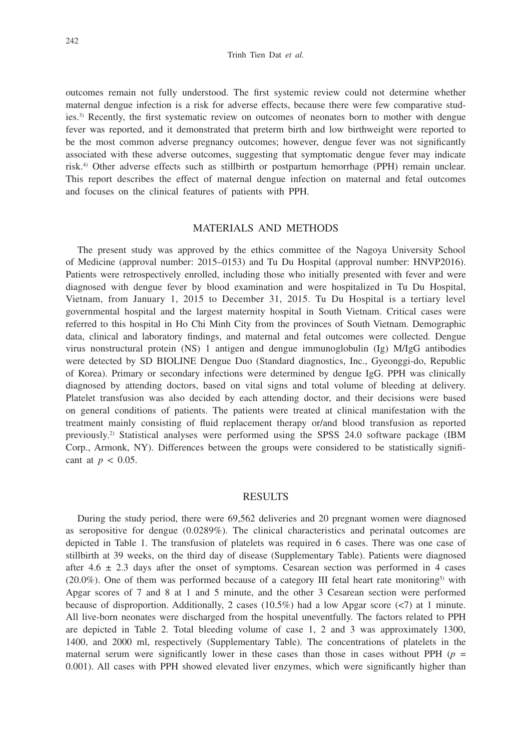outcomes remain not fully understood. The first systemic review could not determine whether maternal dengue infection is a risk for adverse effects, because there were few comparative studies.3) Recently, the first systematic review on outcomes of neonates born to mother with dengue fever was reported, and it demonstrated that preterm birth and low birthweight were reported to be the most common adverse pregnancy outcomes; however, dengue fever was not significantly associated with these adverse outcomes, suggesting that symptomatic dengue fever may indicate risk.4) Other adverse effects such as stillbirth or postpartum hemorrhage (PPH) remain unclear. This report describes the effect of maternal dengue infection on maternal and fetal outcomes and focuses on the clinical features of patients with PPH.

#### MATERIALS AND METHODS

The present study was approved by the ethics committee of the Nagoya University School of Medicine (approval number: 2015–0153) and Tu Du Hospital (approval number: HNVP2016). Patients were retrospectively enrolled, including those who initially presented with fever and were diagnosed with dengue fever by blood examination and were hospitalized in Tu Du Hospital, Vietnam, from January 1, 2015 to December 31, 2015. Tu Du Hospital is a tertiary level governmental hospital and the largest maternity hospital in South Vietnam. Critical cases were referred to this hospital in Ho Chi Minh City from the provinces of South Vietnam. Demographic data, clinical and laboratory findings, and maternal and fetal outcomes were collected. Dengue virus nonstructural protein (NS) 1 antigen and dengue immunoglobulin (Ig) M/IgG antibodies were detected by SD BIOLINE Dengue Duo (Standard diagnostics, Inc., Gyeonggi-do, Republic of Korea). Primary or secondary infections were determined by dengue IgG. PPH was clinically diagnosed by attending doctors, based on vital signs and total volume of bleeding at delivery. Platelet transfusion was also decided by each attending doctor, and their decisions were based on general conditions of patients. The patients were treated at clinical manifestation with the treatment mainly consisting of fluid replacement therapy or/and blood transfusion as reported previously.2) Statistical analyses were performed using the SPSS 24.0 software package (IBM Corp., Armonk, NY). Differences between the groups were considered to be statistically significant at  $p < 0.05$ .

#### RESULTS

During the study period, there were 69,562 deliveries and 20 pregnant women were diagnosed as seropositive for dengue (0.0289%). The clinical characteristics and perinatal outcomes are depicted in Table 1. The transfusion of platelets was required in 6 cases. There was one case of stillbirth at 39 weeks, on the third day of disease (Supplementary Table). Patients were diagnosed after  $4.6 \pm 2.3$  days after the onset of symptoms. Cesarean section was performed in 4 cases  $(20.0\%)$ . One of them was performed because of a category III fetal heart rate monitoring<sup>5)</sup> with Apgar scores of 7 and 8 at 1 and 5 minute, and the other 3 Cesarean section were performed because of disproportion. Additionally, 2 cases (10.5%) had a low Apgar score (<7) at 1 minute. All live-born neonates were discharged from the hospital uneventfully. The factors related to PPH are depicted in Table 2. Total bleeding volume of case 1, 2 and 3 was approximately 1300, 1400, and 2000 ml, respectively (Supplementary Table). The concentrations of platelets in the maternal serum were significantly lower in these cases than those in cases without PPH  $(p =$ 0.001). All cases with PPH showed elevated liver enzymes, which were significantly higher than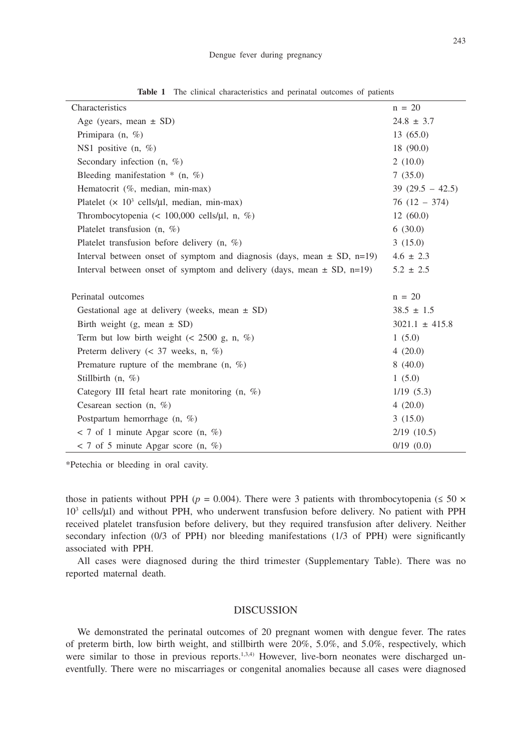| Characteristics                                                             | $n = 20$           |  |  |
|-----------------------------------------------------------------------------|--------------------|--|--|
| Age (years, mean $\pm$ SD)                                                  | $24.8 \pm 3.7$     |  |  |
| Primipara $(n, \%)$                                                         | 13(65.0)           |  |  |
| NS1 positive $(n, %)$                                                       | 18 (90.0)          |  |  |
| Secondary infection $(n, \%)$                                               | 2(10.0)            |  |  |
| Bleeding manifestation $*(n, \%)$                                           | 7(35.0)            |  |  |
| Hematocrit (%, median, min-max)                                             | $39(29.5 - 42.5)$  |  |  |
| Platelet $(x 10^3 \text{ cells/}\mu l, \text{median}, \text{min-max})$      | $76(12 - 374)$     |  |  |
| Thrombocytopenia (< 100,000 cells/ $\mu$ l, n, %)                           | 12(60.0)           |  |  |
| Platelet transfusion $(n, %)$                                               | 6(30.0)            |  |  |
| Platelet transfusion before delivery $(n, \%)$                              | 3(15.0)            |  |  |
| Interval between onset of symptom and diagnosis (days, mean $\pm$ SD, n=19) | $4.6 \pm 2.3$      |  |  |
| Interval between onset of symptom and delivery (days, mean $\pm$ SD, n=19)  | $5.2 \pm 2.5$      |  |  |
|                                                                             |                    |  |  |
| Perinatal outcomes                                                          | $n = 20$           |  |  |
| Gestational age at delivery (weeks, mean $\pm$ SD)                          | $38.5 \pm 1.5$     |  |  |
| Birth weight (g, mean $\pm$ SD)                                             | $3021.1 \pm 415.8$ |  |  |
| Term but low birth weight $(< 2500$ g, n, %)                                | 1(5.0)             |  |  |
| Preterm delivery ( $\lt$ 37 weeks, n, %)                                    | 4(20.0)            |  |  |
| Premature rupture of the membrane $(n, \%)$                                 | 8(40.0)            |  |  |
| Stillbirth $(n, %)$                                                         | 1(5.0)             |  |  |
| Category III fetal heart rate monitoring $(n, \%)$                          | 1/19(5.3)          |  |  |
| Cesarean section $(n, \%)$                                                  | 4(20.0)            |  |  |
| Postpartum hemorrhage $(n, %)$                                              | 3(15.0)            |  |  |
| $<$ 7 of 1 minute Apgar score (n, %)                                        | $2/19$ (10.5)      |  |  |
| $<$ 7 of 5 minute Apgar score (n, %)                                        | $0/19$ $(0.0)$     |  |  |

**Table 1** The clinical characteristics and perinatal outcomes of patients

\*Petechia or bleeding in oral cavity.

those in patients without PPH ( $p = 0.004$ ). There were 3 patients with thrombocytopenia ( $\leq 50 \times$ 10<sup>3</sup> cells/µl) and without PPH, who underwent transfusion before delivery. No patient with PPH received platelet transfusion before delivery, but they required transfusion after delivery. Neither secondary infection (0/3 of PPH) nor bleeding manifestations (1/3 of PPH) were significantly associated with PPH.

All cases were diagnosed during the third trimester (Supplementary Table). There was no reported maternal death.

#### **DISCUSSION**

We demonstrated the perinatal outcomes of 20 pregnant women with dengue fever. The rates of preterm birth, low birth weight, and stillbirth were 20%, 5.0%, and 5.0%, respectively, which were similar to those in previous reports.<sup>1,3,4)</sup> However, live-born neonates were discharged uneventfully. There were no miscarriages or congenital anomalies because all cases were diagnosed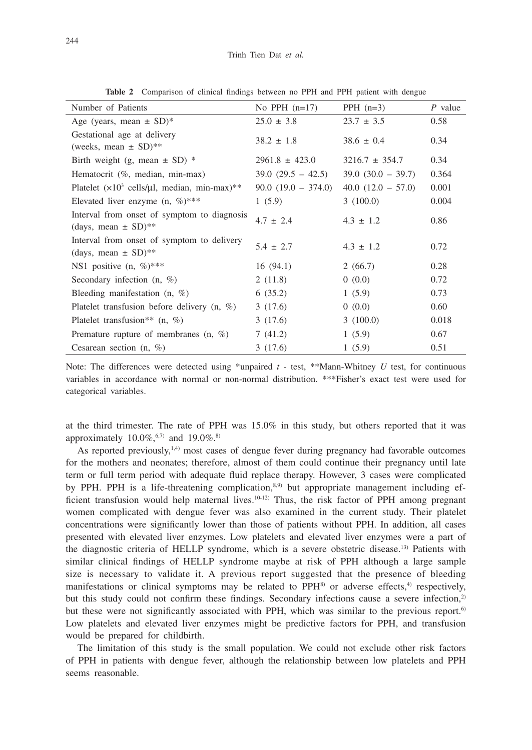| Number of Patients                                                                | No PPH $(n=17)$         | PPH $(n=3)$          | $P$ value |
|-----------------------------------------------------------------------------------|-------------------------|----------------------|-----------|
| Age (years, mean $\pm$ SD) <sup>*</sup>                                           | $25.0 \pm 3.8$          | $23.7 \pm 3.5$       | 0.58      |
| Gestational age at delivery<br>(weeks, mean $\pm$ SD)**                           | $38.2 \pm 1.8$          | $38.6 \pm 0.4$       | 0.34      |
| Birth weight (g, mean $\pm$ SD) $*$                                               | $2961.8 \pm 423.0$      | $3216.7 \pm 354.7$   | 0.34      |
| Hematocrit (%, median, min-max)                                                   | $39.0(29.5 - 42.5)$     | $39.0 (30.0 - 39.7)$ | 0.364     |
| Platelet $(x10^3 \text{ cells/}\mu l, \text{ median}, \text{min-max})$ **         | $90.0$ $(19.0 - 374.0)$ | $40.0(12.0 - 57.0)$  | 0.001     |
| Elevated liver enzyme $(n, \%)$ ***                                               | 1(5.9)                  | 3(100.0)             | 0.004     |
| Interval from onset of symptom to diagnosis<br>(days, mean $\pm$ SD)**            | $4.7 \pm 2.4$           | $4.3 \pm 1.2$        | 0.86      |
| Interval from onset of symptom to delivery<br>(days, mean $\pm$ SD) <sup>**</sup> | $5.4 \pm 2.7$           | $4.3 \pm 1.2$        | 0.72      |
| NS1 positive $(n, \%)$ ***                                                        | 16(94.1)                | 2(66.7)              | 0.28      |
| Secondary infection $(n, \%)$                                                     | 2(11.8)                 | 0(0.0)               | 0.72      |
| Bleeding manifestation $(n, \%)$                                                  | 6(35.2)                 | 1(5.9)               | 0.73      |
| Platelet transfusion before delivery $(n, \%)$                                    | 3(17.6)                 | 0(0.0)               | 0.60      |
| Platelet transfusion** $(n, %)$                                                   | 3(17.6)                 | 3(100.0)             | 0.018     |
| Premature rupture of membranes $(n, \%)$                                          | 7(41.2)                 | 1(5.9)               | 0.67      |
| Cesarean section $(n, %)$                                                         | 3(17.6)                 | 1(5.9)               | 0.51      |

**Table 2** Comparison of clinical findings between no PPH and PPH patient with dengue

Note: The differences were detected using \*unpaired *t* - test, \*\*Mann-Whitney *U* test, for continuous variables in accordance with normal or non-normal distribution. \*\*\*Fisher's exact test were used for categorical variables.

at the third trimester. The rate of PPH was 15.0% in this study, but others reported that it was approximately  $10.0\%,$ <sup>6,7)</sup> and  $19.0\%$ .<sup>8)</sup>

As reported previously, $1,4$ ) most cases of dengue fever during pregnancy had favorable outcomes for the mothers and neonates; therefore, almost of them could continue their pregnancy until late term or full term period with adequate fluid replace therapy. However, 3 cases were complicated by PPH. PPH is a life-threatening complication,<sup>8,9)</sup> but appropriate management including efficient transfusion would help maternal lives.<sup>10-12)</sup> Thus, the risk factor of PPH among pregnant women complicated with dengue fever was also examined in the current study. Their platelet concentrations were significantly lower than those of patients without PPH. In addition, all cases presented with elevated liver enzymes. Low platelets and elevated liver enzymes were a part of the diagnostic criteria of HELLP syndrome, which is a severe obstetric disease.13) Patients with similar clinical findings of HELLP syndrome maybe at risk of PPH although a large sample size is necessary to validate it. A previous report suggested that the presence of bleeding manifestations or clinical symptoms may be related to  $PPH<sup>8</sup>$  or adverse effects,<sup>4)</sup> respectively, but this study could not confirm these findings. Secondary infections cause a severe infection,<sup>2)</sup> but these were not significantly associated with PPH, which was similar to the previous report.<sup>6)</sup> Low platelets and elevated liver enzymes might be predictive factors for PPH, and transfusion would be prepared for childbirth.

The limitation of this study is the small population. We could not exclude other risk factors of PPH in patients with dengue fever, although the relationship between low platelets and PPH seems reasonable.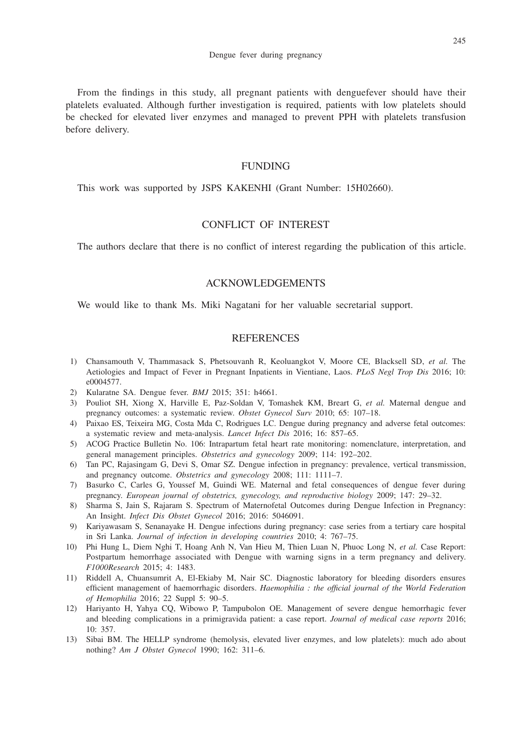From the findings in this study, all pregnant patients with denguefever should have their platelets evaluated. Although further investigation is required, patients with low platelets should be checked for elevated liver enzymes and managed to prevent PPH with platelets transfusion before delivery.

# FUNDING

This work was supported by JSPS KAKENHI (Grant Number: 15H02660).

# CONFLICT OF INTEREST

The authors declare that there is no conflict of interest regarding the publication of this article.

#### ACKNOWLEDGEMENTS

We would like to thank Ms. Miki Nagatani for her valuable secretarial support.

### **REFERENCES**

- 1) Chansamouth V, Thammasack S, Phetsouvanh R, Keoluangkot V, Moore CE, Blacksell SD, *et al.* The Aetiologies and Impact of Fever in Pregnant Inpatients in Vientiane, Laos. *PLoS Negl Trop Dis* 2016; 10: e0004577.
- 2) Kularatne SA. Dengue fever. *BMJ* 2015; 351: h4661.
- 3) Pouliot SH, Xiong X, Harville E, Paz-Soldan V, Tomashek KM, Breart G, *et al.* Maternal dengue and pregnancy outcomes: a systematic review. *Obstet Gynecol Surv* 2010; 65: 107–18.
- 4) Paixao ES, Teixeira MG, Costa Mda C, Rodrigues LC. Dengue during pregnancy and adverse fetal outcomes: a systematic review and meta-analysis. *Lancet Infect Dis* 2016; 16: 857–65.
- 5) ACOG Practice Bulletin No. 106: Intrapartum fetal heart rate monitoring: nomenclature, interpretation, and general management principles. *Obstetrics and gynecology* 2009; 114: 192–202.
- 6) Tan PC, Rajasingam G, Devi S, Omar SZ. Dengue infection in pregnancy: prevalence, vertical transmission, and pregnancy outcome. *Obstetrics and gynecology* 2008; 111: 1111–7.
- 7) Basurko C, Carles G, Youssef M, Guindi WE. Maternal and fetal consequences of dengue fever during pregnancy. *European journal of obstetrics, gynecology, and reproductive biology* 2009; 147: 29–32.
- 8) Sharma S, Jain S, Rajaram S. Spectrum of Maternofetal Outcomes during Dengue Infection in Pregnancy: An Insight. *Infect Dis Obstet Gynecol* 2016; 2016: 5046091.
- 9) Kariyawasam S, Senanayake H. Dengue infections during pregnancy: case series from a tertiary care hospital in Sri Lanka. *Journal of infection in developing countries* 2010; 4: 767–75.
- 10) Phi Hung L, Diem Nghi T, Hoang Anh N, Van Hieu M, Thien Luan N, Phuoc Long N, *et al.* Case Report: Postpartum hemorrhage associated with Dengue with warning signs in a term pregnancy and delivery. *F1000Research* 2015; 4: 1483.
- 11) Riddell A, Chuansumrit A, El-Ekiaby M, Nair SC. Diagnostic laboratory for bleeding disorders ensures efficient management of haemorrhagic disorders. *Haemophilia : the official journal of the World Federation of Hemophilia* 2016; 22 Suppl 5: 90–5.
- 12) Hariyanto H, Yahya CQ, Wibowo P, Tampubolon OE. Management of severe dengue hemorrhagic fever and bleeding complications in a primigravida patient: a case report. *Journal of medical case reports* 2016; 10: 357.
- 13) Sibai BM. The HELLP syndrome (hemolysis, elevated liver enzymes, and low platelets): much ado about nothing? *Am J Obstet Gynecol* 1990; 162: 311–6.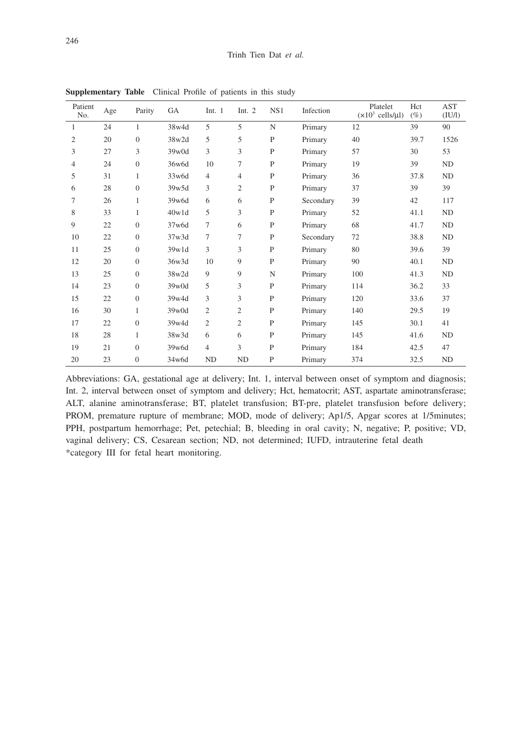| Patient<br>No. | $_{\rm Age}$ | Parity         | GA    | Int. $1$       | Int. $2$       | NS1          | Infection | Platelet<br>$(x10^3 \text{ cells/}\mu\text{I})$ | Hct<br>$(\%)$ | <b>AST</b><br>(IU/l) |
|----------------|--------------|----------------|-------|----------------|----------------|--------------|-----------|-------------------------------------------------|---------------|----------------------|
| 1              | 24           | 1              | 38w4d | 5              | 5              | N            | Primary   | 12                                              | 39            | 90                   |
| 2              | 20           | $\overline{0}$ | 38w2d | 5              | 5              | P            | Primary   | 40                                              | 39.7          | 1526                 |
| 3              | 27           | 3              | 39w0d | 3              | 3              | $\mathbf{P}$ | Primary   | 57                                              | 30            | 53                   |
| 4              | 24           | $\theta$       | 36w6d | 10             | 7              | P            | Primary   | 19                                              | 39            | ND                   |
| 5              | 31           | 1              | 33w6d | $\overline{4}$ | 4              | $\mathbf{P}$ | Primary   | 36                                              | 37.8          | <b>ND</b>            |
| 6              | 28           | $\Omega$       | 39w5d | 3              | $\overline{2}$ | P            | Primary   | 37                                              | 39            | 39                   |
| 7              | 26           | 1              | 39w6d | 6              | 6              | P            | Secondary | 39                                              | 42            | 117                  |
| 8              | 33           | $\mathbf{1}$   | 40w1d | 5              | 3              | $\mathbf{P}$ | Primary   | 52                                              | 41.1          | ${\rm ND}$           |
| 9              | 22           | $\Omega$       | 37w6d | $\tau$         | 6              | $\mathbf{P}$ | Primary   | 68                                              | 41.7          | <b>ND</b>            |
| 10             | 22           | $\theta$       | 37w3d | 7              | $\overline{7}$ | $\mathbf{P}$ | Secondary | 72                                              | 38.8          | ND                   |
| 11             | 25           | $\theta$       | 39w1d | 3              | 3              | P            | Primary   | 80                                              | 39.6          | 39                   |
| 12             | 20           | $\overline{0}$ | 36w3d | 10             | 9              | P            | Primary   | 90                                              | 40.1          | ND                   |
| 13             | 25           | $\overline{0}$ | 38w2d | 9              | 9              | N            | Primary   | 100                                             | 41.3          | <b>ND</b>            |
| 14             | 23           | $\overline{0}$ | 39w0d | 5              | 3              | P            | Primary   | 114                                             | 36.2          | 33                   |
| 15             | 22           | $\overline{0}$ | 39w4d | 3              | 3              | $\mathbf{P}$ | Primary   | 120                                             | 33.6          | 37                   |
| 16             | 30           | 1              | 39w0d | $\overline{c}$ | $\overline{c}$ | P            | Primary   | 140                                             | 29.5          | 19                   |
| 17             | 22           | $\Omega$       | 39w4d | $\overline{c}$ | 2              | P            | Primary   | 145                                             | 30.1          | 41                   |
| 18             | 28           | 1              | 38w3d | 6              | 6              | $\mathbf{P}$ | Primary   | 145                                             | 41.6          | ND                   |
| 19             | 21           | $\Omega$       | 39w6d | $\overline{4}$ | 3              | $\mathbf{P}$ | Primary   | 184                                             | 42.5          | 47                   |
| 20             | 23           | $\overline{0}$ | 34w6d | <b>ND</b>      | <b>ND</b>      | $\mathbf{P}$ | Primary   | 374                                             | 32.5          | ${\rm ND}$           |

**Supplementary Table** Clinical Profile of patients in this study

Abbreviations: GA, gestational age at delivery; Int. 1, interval between onset of symptom and diagnosis; Int. 2, interval between onset of symptom and delivery; Hct, hematocrit; AST, aspartate aminotransferase; ALT, alanine aminotransferase; BT, platelet transfusion; BT-pre, platelet transfusion before delivery; PROM, premature rupture of membrane; MOD, mode of delivery; Ap1/5, Apgar scores at 1/5minutes; PPH, postpartum hemorrhage; Pet, petechial; B, bleeding in oral cavity; N, negative; P, positive; VD, vaginal delivery; CS, Cesarean section; ND, not determined; IUFD, intrauterine fetal death \*category III for fetal heart monitoring.